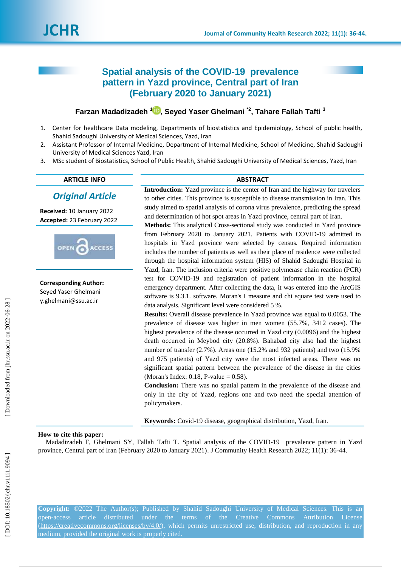# **Spatial analysis of the COVID -19 prevalence pattern in Yazd province, Central part of Iran (February 2020 to January 2021)**

## **Farzan Madadizadeh 1 [,](https://orcid.org/0000-0002-5757-182X) Seyed Yaser Ghelmani \*2, Tahare Fallah Tafti 3**

- 1 . Center for healthcare Data modeling, Departments of biostatistics and Epidemiology, School of public health, Shahid Sadoughi University of Medical Sciences, Yazd, Iran
- 2 . Assistant Professor of Internal Medicine, Department of Internal Medicine, School of Medicine, Shahid Sadoughi University of Medical Sciences Yazd, Iran
- 3. . MSc student of Biostatistics, School of Public Health, Shahid Sadoughi University of Medical Sciences, Yazd, Iran

#### **ARTICLE INFO ABSTRACT**

## *Original Article*

**Received:** 10 January 202 2 **Accepted:** 23 February 202 2



**Corresponding Author:** Seyed Yaser Ghelmani y.ghelmani@ssu.ac.ir

**Introduction:** Yazd province is the center of Iran and the highway for travelers to other cities. This province is susceptible to disease transmission in Iran. This study aimed to spatial analysis of corona virus prevalence, predicting the spread and determination of hot spot areas in Yazd province, central part of Iran.

**Methods:** This analytical Cross -sectional study was conducted in Yazd province from February 2020 to January 2021. Patients with COVID -19 admitted to hospitals in Yazd province were selected by census. Required information includes the number of patients as well as their place of residence were collected through the hospital information system (HIS) of Shahid Sadoughi Hospital in Yazd, Iran. The inclusion criteria were positive polymerase chain reaction (PCR) test for COVID -19 and registration of patient information in the hospital emergency department. After collecting the data, it was entered into the ArcGIS software is 9.3.1. software. Moran's I measure and chi square test were used to data analysis. Significant level were considered 5 %.

**Results:** Overall disease prevalence in Yazd province was equal to 0.0053. The prevalence of disease was higher in men women (55.7%, 3412 cases). The highest prevalence of the disease occurred in Yazd city (0.0096) and the highest death occurred in Meybod city (20.8%). Bahabad city also had the highest number of transfer (2.7%). Areas one (15.2% and 932 patients) and two (15.9% and 975 patients) of Yazd city were the most infected areas. There was no significant spatial pattern between the prevalence of the disease in the cities (Moran's Index: 0.18, P -value = 0.58).

**Conclusion:** There was no spatial pattern in the prevalence of the disease and only in the city of Yazd, regions one and two need the special attention of policymakers.

**Keywords:** Covid -19 disease, geographical distribution, Yazd, Iran.

#### **How to cite this paper:**

Madadizadeh F, Ghelmani SY, Fallah Tafti T. Spatial analysis of the COVID -19 prevalence pattern in Yazd province, Central part of Iran (February 2020 to January 2021). J Community Health Research 2022; 11(1): 36-44.

**Copyright:** ©2022 The Author(s); Published by Shahid Sadoughi University of Medical Sciences. This is an open-access [\(https://creativecommons.org/licenses/by/4.0/\)](https://creativecommons.org/licenses/by/4.0/), which permits unrestricted use, distribution, and reproduction in any medium, provided the original work is properly cited.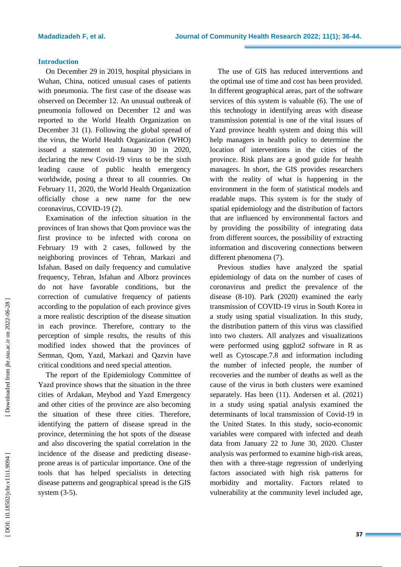#### **Introduction**

On December 29 in 2019, hospital physicians in Wuhan, China, noticed unusual cases of patients with pneumonia. The first case of the disease was observed on December 12. An unusual outbreak of pneumonia followed on December 12 and was reported to the World Health Organization on December 31 (1). Following the global spread of the virus, the World Health Organization (WHO) issued a statement on January 30 in 2020, declaring the new Covid -19 virus to be the sixth leading cause of public health emergency worldwide, posing a threat to all countries. On February 11, 2020, the World Health Organization officially chose a new name for the new coronavirus, COVID -19 (2) .

Examination of the infection situation in the provinces of Iran shows that Qom province was the first province to be infected with corona on February 19 with 2 cases, followed by the neighboring provinces of Tehran, Markazi and Isfahan. Based on daily frequency and cumulative frequency, Tehran, Isfahan and Alborz provinces do not have favorable conditions, but the correction of cumulative frequency of patients according to the population of each province gives a more realistic description of the disease situation in each province. Therefore, contrary to the perception of simple results, the results of this modified index showed that the provinces of Semnan, Qom, Yazd, Markazi and Qazvin have critical conditions and need special attention.

The report of the Epidemiology Committee of Yazd province shows that the situation in the three cities of Ardakan, Meybod and Yazd Emergency and other cities of the province are also becoming the situation of these three cities. Therefore, identifying the pattern of disease spread in the province, determining the hot spots of the disease and also discovering the spatial correlation in the incidence of the disease and predicting disease prone areas is of particular importance. One of the tools that has helped specialists in detecting disease patterns and geographical spread is the GIS system (3-5).

The use of GIS has reduced interventions and the optimal use of time and cost has been provided. In different geographical areas, part of the software services of this system is valuable (6). The use of this technology in identifying areas with disease transmission potential is one of the vital issues of Yazd province health system and doing this will help managers in health policy to determine the location of interventions in the cities of the province. Risk plans are a good guide for health managers. In short, the GIS provides researchers with the reality of what is happening in the environment in the form of statistical models and readable maps. This system is for the study of spatial epidemiology and the distribution of factors that are influenced by environmental factors and by providing the possibility of integrating data from different sources, the possibility of extracting information and discovering connections between different phenomena (7) .

Previous studies have analyzed the spatial epidemiology of data on the number of cases of coronavirus and predict the prevalence of the disease (8 -10). Park (2020) examined the early transmission of COVID -19 virus in South Korea in a study using spatial visualization. In this study, the distribution pattern of this virus was classified into two clusters. All analyzes and visualizations were performed using ggplot2 software in R as well as Cytoscape.7.8 and information including the number of infected people, the number of recoveries and the number of deaths as well as the cause of the virus in both clusters were examined separately. Has been (11). Andersen et al. (2021) in a study using spatial analysis examined the determinants of local transmission of Covid -19 in the United States. In this study, socio -economic variables were compared with infected and death data from January 22 to June 30, 2020. Cluster analysis was performed to examine high -risk areas, then with a three -stage regression of underlying factors associated with high risk patterns for morbidity and mortality. Factors related to vulnerability at the community level included age,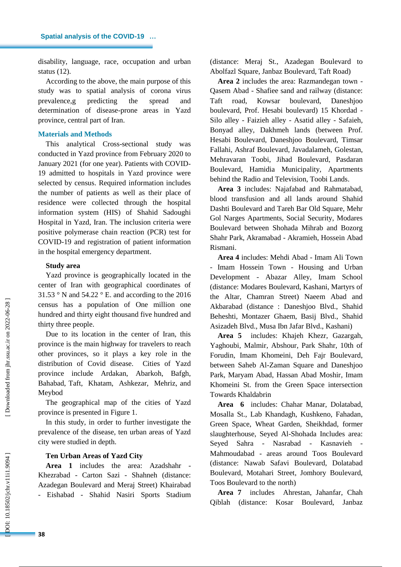disability, language, race, occupation and urban status (12) .

According to the above, the main purpose of this study was to spatial analysis of corona virus prevalence,g predicting the spread and determination of disease -prone areas in Yazd province, central part of Iran.

#### **Materials and Methods**

This analytical Cros s -sectional study was conducted in Yazd province from February 2020 to January 2021 (for one year). Patients with COVID - 19 admitted to hospitals in Yazd province were selected by census. Required information includes the number of patients as well as their place of residence were collected through the hospital information system (HIS) of Shahid Sadoughi Hospital in Yazd, Iran. The inclusion criteria were positive polymerase chain reaction (PCR) test for COVID -19 and registration of patient information in the hospital emergency department.

#### **Study area**

Yazd province is geographically located in the center of Iran with geographical coordinates of 31.53 ° N and 54.22 ° E. and according to the 2016 census has a population of One million one hundred and thirty eight thousand five hundred and thirty three people.

Due to its location in the center of Iran, this province is the main highway for travelers to reach other provinces, so it plays a key role in the distribution of Covid disease. Cities of Yazd province include Ardakan, Abarkoh, Bafgh, Bahabad, Taft, Khatam, Ashkezar, Mehriz, and Meybod

The geographical map of the cities of Yazd province is presented in Figure 1.

In this study, in order to further investigate the prevalence of the disease, ten urban areas of Yazd city were studied in depth.

### **Ten Urban Areas of Yazd City**

**Area 1** includes the area: Azadshahr - Khezrabad - Carton Sazi - Shahneh (distance: Azadegan Boulevard and Meraj Street) Khairabad - Eishabad - Shahid Nasiri Sports Stadium

(distance: Meraj St., Azadegan Boulevard to Abolfazl Square, Janbaz Boulevard, Taft Road)

**Area 2** includes the area: Razmandegan town - Qasem Abad - Shafiee sand and railway (distance: Taft road, Kowsar boulevard, Daneshjoo boulevard, Prof. Hesabi boulevard) 15 Khordad - Silo alley - Faizieh alley - Asatid alley - Safaieh, Bonyad alley, Dakhmeh lands (between Prof. Hesabi Boulevard, Daneshjoo Boulevard, Timsar Fallahi, Ashraf Boulevard, Javadalameh, Golestan, Mehravaran Toobi, Jihad Boulevard, Pasdaran Boulevard, Hamidia Municipality, Apartments behind the Radio and Television, Toobi Lands .

**Area 3** includes: Najafabad and Rahmatabad, blood transfusion and all lands around Shahid Dashti Boulevard and Tareh Bar Old Square, Mehr Gol Narges Apartments, Social Security, Modares Boulevard between Shohada Mihrab and Bozorg Shahr Park, Akramabad - Akramieh, Hossein Abad Rismani .

**Area 4** includes: Mehdi Abad - Imam Ali Town - Imam Hossein Town - Housing and Urban Development - Abazar Alley, Imam School (distance: Modares Boulevard, Kashani, Martyrs of the Altar, Chamran Street) Naeem Abad and Akbarabad (distance : Daneshjoo Blvd., Shahid Beheshti, Montazer Ghaem, Basij Blvd., Shahid Asizadeh Blvd., Musa Ibn Jafar Blvd., Kashani)

**Area 5** includes : Khajeh Khezr, Gazargah, Yaghoubi, Malmir, Abshour, Park Shahr, 10th of Forudin, Imam Khomeini, Deh Fajr Boulevard, between Saheb Al -Zaman Square and Daneshjoo Park, Maryam Abad, Hassan Abad Moshir, Imam Khomeini St. from the Green Space intersection Towards Khaldabrin

**Area 6** includes: Chahar Manar, Dolatabad, Mosalla St., Lab Khandagh, Kushkeno, Fahadan, Green Space, Wheat Garden, Sheikhdad, former slaughterhouse, Seyed Al -Shohada Includes area: Seyed Sahra - Nasrabad - Kasnavieh - Mahmoudabad - areas around Toos Boulevard (distance: Nawab Safavi Boulevard, Dolatabad Boulevard, Motahari Street, Jomhory Boulevard, Toos Boulevard to the north)

**Area 7** includes Ahrestan, Jahanfar, Chah Qiblah (distance: Kosar Boulevard, Janbaz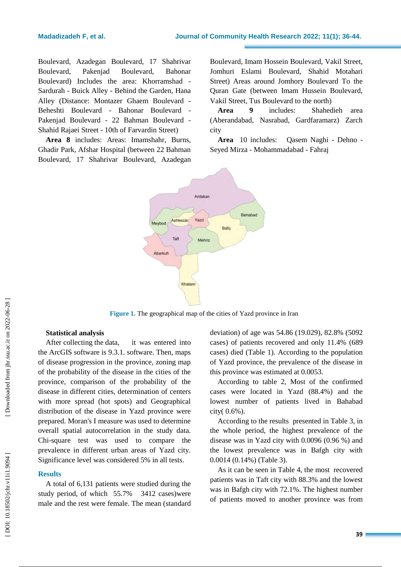Boulevard, Azadegan Boulevard, 17 Shahrivar Boulevard, Pakenjad Boulevard, Bahonar Boulevard) Includes the area: Khorramshad - Sardurah - Buick Alley - Behind the Garden, Hana Alley (Distance: Montazer Ghaem Boulevard - Beheshti Boulevard - Bahonar Boulevard - Pakenjad Boulevard - 22 Bahman Boulevard - Shahid Rajaei Street - 10th of Farvardin Street)

**Area 8** includes: Areas: Imamshahr, Burns, Ghadir Park, Afshar Hospital (between 22 Bahman Boulevard, 17 Shahrivar Boulevard, Azadegan

Boulevard, Imam Hossein Boulevard, Vakil Street, Jomhuri Eslami Boulevard, Shahid Motahari Street) Areas around Jomhory Boulevard To the Quran Gate (between Imam Hussein Boulevard, Vakil Street, Tus Boulevard to the north)

**Area 9** includes: Shahedieh area (Aberandabad, Nasrabad, Gardfaramarz) Zarch city

**Area** 10 includes: - Dehno - Seyed Mirza - Mohammadabad - Fahraj



**Figure 1.** The geographical map of the cities of Yazd province in Iran

#### **Statistical analysis**

After collecting the data, it was entered into the ArcGIS software is 9.3.1. software. Then, maps of disease progression in the province, zoning map of the probability of the disease in the cities of the province, comparison of the probability of the disease in different cities, determination of centers with more spread (hot spots) and Geographical distribution of the disease in Yazd province were prepared. Moran's I measure was used to determine overall spatial autocorrelation in the study data. Chi -square test was used to compare the prevalence in different urban areas of Yazd city. Significance level was considered 5% in all tests.

#### **Results**

A total of 6,131 patients were studied during the study period, of which 55.7% 3412 cases)were male and the rest were female. The mean (standard deviation) of age was 54.86 (19.029), 82.8% (5092 cases) of patients recovered and only 11.4% (689 cases) died (Table 1). According to the population of Yazd province, the prevalence of the disease in this province was estimated at 0.0053.

According to table 2, Most of the confirmed cases were located in Yazd (88.4%) and the lowest number of patients lived in Bahabad city( 0.6%).

According to the results presented in Table 3, in the whole period, the highest prevalence of the disease was in Yazd city with 0.0096 (0.96 %) and the lowest prevalence was in Bafgh city with 0.0014 (0.14%) (Table 3).

As it can be seen in Table 4, the most recovered patients was in Taft city with 88.3% and the lowest was in Bafgh city with 72.1%. The highest number of patients moved to another province was from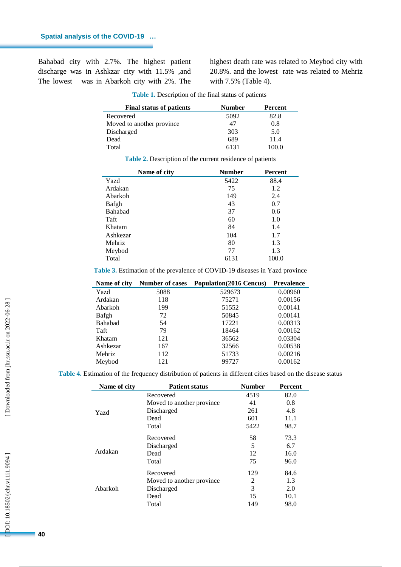i.

Bahabad city with 2.7%. The highest patient discharge was in Ashkzar city with 11.5% ,and The lowest was in Abarkoh city with 2%. The

highest death rate was related to Meybod city with 20.8%. and the lowest rate was related to Mehriz with 7.5% (Table 4).

| <b>Final status of patients</b> | <b>Number</b> | Percent |
|---------------------------------|---------------|---------|
| Recovered                       | 5092          | 82.8    |
| Moved to another province.      | 47            | 0.8     |
| Discharged                      | 303           | 5.0     |
| Dead                            | 689           | 11.4    |
| Total                           | 6131          | 100.0   |

|  | Table 1. Description of the final status of patients |  |  |  |
|--|------------------------------------------------------|--|--|--|
|--|------------------------------------------------------|--|--|--|

**Table 2 .** Description of the current residence of patients

| Name of city | <b>Number</b> | <b>Percent</b> |
|--------------|---------------|----------------|
| Yazd         | 5422          | 88.4           |
| Ardakan      | 75            | 1.2            |
| Abarkoh      | 149           | 2.4            |
| Bafgh        | 43            | 0.7            |
| Bahabad      | 37            | 0.6            |
| Taft         | 60            | 1.0            |
| Khatam       | 84            | 1.4            |
| Ashkezar     | 104           | 1.7            |
| Mehriz       | 80            | 1.3            |
| Meybod       | 77            | 1.3            |
| Total        | 6131          | 100.0          |

**Table 3 .** Estimation of the prevalence of COVID -19 diseases in Yazd province

| Name of city   | <b>Number of cases</b> | <b>Population</b> (2016 Cencus) | <b>Prevalence</b> |
|----------------|------------------------|---------------------------------|-------------------|
| Yazd           | 5088                   | 529673                          | 0.00960           |
| Ardakan        | 118                    | 75271                           | 0.00156           |
| Abarkoh        | 199                    | 51552                           | 0.00141           |
| Bafgh          | 72                     | 50845                           | 0.00141           |
| <b>Bahabad</b> | 54                     | 17221                           | 0.00313           |
| Taft           | 79                     | 18464                           | 0.00162           |
| Khatam         | 121                    | 36562                           | 0.03304           |
| Ashkezar       | 167                    | 32566                           | 0.00538           |
| Mehriz         | 112                    | 51733                           | 0.00216           |
| Meybod         | 121                    | 99727                           | 0.00162           |

**Table 4 .** Estimation of the frequency distribution of patients in different cities based on the disease status

| Name of city | <b>Patient status</b>      | <b>Number</b> | <b>Percent</b> |
|--------------|----------------------------|---------------|----------------|
|              | Recovered                  | 4519          | 82.0           |
| Yazd         | Moved to another province. | 41            | 0.8            |
|              | Discharged                 | 261           | 4.8            |
|              | Dead                       | 601           | 11.1           |
|              | Total                      | 5422          | 98.7           |
|              | Recovered                  | 58            | 73.3           |
| Ardakan      | Discharged                 | 5             | 6.7            |
|              | Dead                       | 12            | 16.0           |
|              | Total                      | 75            | 96.0           |
|              | Recovered                  | 129           | 84.6           |
| Abarkoh      | Moved to another province. | 2             | 1.3            |
|              | Discharged                 | 3             | 2.0            |
|              | Dead                       | 15            | 10.1           |
|              | Total                      | 149           | 98.0           |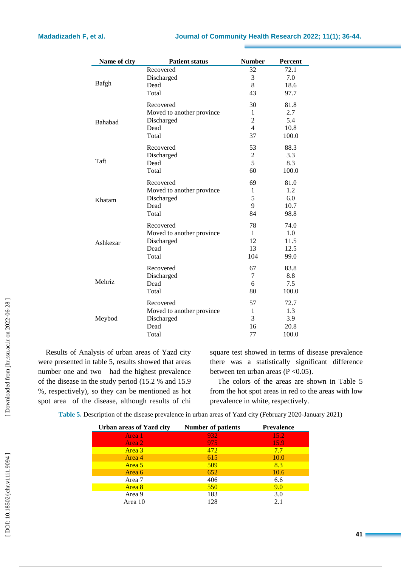| Name of city | <b>Patient status</b>     | <b>Number</b>  | <b>Percent</b> |
|--------------|---------------------------|----------------|----------------|
|              | Recovered<br>Discharged   | 32<br>3        | 72.1<br>7.0    |
| Bafgh        | Dead                      | 8              | 18.6           |
|              | Total                     | 43             | 97.7           |
|              | Recovered                 | 30             | 81.8           |
|              | Moved to another province | 1              | 2.7            |
| Bahabad      | Discharged                | $\overline{2}$ | 5.4            |
|              | Dead                      | $\overline{4}$ | 10.8           |
|              | Total                     | 37             | 100.0          |
|              | Recovered                 | 53             | 88.3           |
|              | Discharged                | 2              | 3.3            |
| Taft         | Dead                      | 5              | 8.3            |
|              | Total                     | 60             | 100.0          |
|              | Recovered                 | 69             | 81.0           |
|              | Moved to another province | 1              | 1.2            |
| Khatam       | Discharged                | 5              | 6.0            |
|              | Dead                      | 9              | 10.7           |
|              | Total                     | 84             | 98.8           |
|              | Recovered                 | 78             | 74.0           |
|              | Moved to another province | 1              | 1.0            |
| Ashkezar     | Discharged                | 12             | 11.5           |
|              | Dead                      | 13             | 12.5           |
|              | Total                     | 104            | 99.0           |
|              | Recovered                 | 67             | 83.8           |
|              | Discharged                | 7              | 8.8            |
| Mehriz       | Dead                      | 6              | 7.5            |
|              | Total                     | 80             | 100.0          |
|              | Recovered                 | 57             | 72.7           |
|              | Moved to another province | $\mathbf{1}$   | 1.3            |
| Meybod       | Discharged                | 3              | 3.9            |
|              | Dead                      | 16             | 20.8           |
|              | Total                     | 77             | 100.0          |

Results of Analysis of urban areas of Yazd city were presented in table 5, results showed that areas number one and two had the highest prevalence of the disease in the study period (15.2 % and 15.9 %, respectively), so they can be mentioned as hot spot area of the disease, although results of chi square test showed in terms of disease prevalence there was a statistically significant difference between ten urban areas ( $P < 0.05$ ).

The colors of the areas are shown in Table 5 from the hot spot areas in red to the areas with low prevalence in white, respectively.

Table 5. Description of the disease prevalence in urban areas of Yazd city (February 2020-January 2021)

| <b>Urban areas of Yazd city</b> | <b>Number of patients</b> | <b>Prevalence</b> |
|---------------------------------|---------------------------|-------------------|
| Area 1                          | 932                       | 15.2              |
| Area 2                          | 975                       | 15.9              |
| Area 3                          | 472                       | 7.7               |
| Area 4                          | 615                       | 10.0              |
| Area 5                          | 509                       | 8.3               |
| Area 6                          | 652                       | 10.6              |
| Area 7                          | 406                       | 6.6               |
| Area 8                          | 550                       | 9.0               |
| Area 9                          | 183                       | 3.0               |
| Area 10                         | 128                       | 2.1               |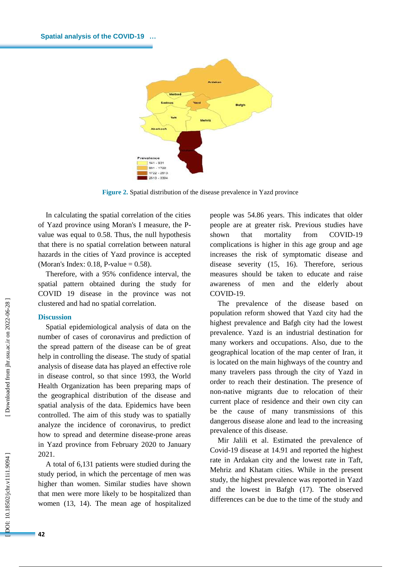

**Figure 2 .** Spatial distribution of the disease prevalence in Yazd province

In calculating the spatial correlation of the cities of Yazd province using Moran's I measure, the P value was equal to 0.58. Thus, the null hypothesis that there is no spatial correlation between natural hazards in the cities of Yazd province is accepted (Moran's Index: 0.18, P -value = 0.58).

Therefore, with a 95% confidence interval, the spatial pattern obtained during the study for COVID 19 disease in the province was not clustered and had no spatial correlation.

#### **Discussion**

Spatial epidemiological analysis of data on the number of cases of coronavirus and prediction of the spread pattern of the disease can be of great help in controlling the disease. The study of spatial analysis of disease data has played an effective role in disease control, so that since 1993, the World Health Organization has been preparing maps of the geographical distribution of the disease and spatial analysis of the data. Epidemics have been controlled. The aim of this study was to spatially analyze the incidence of coronavirus, to predict how to spread and determine disease -prone areas in Yazd province from February 2020 to January 2021.

A total of 6,131 patients were studied during the study period, in which the percentage of men was higher than women. Similar studies have shown that men were more likely to be hospitalized than women (13, 14). The mean age of hospitalized people was 54.86 years. This indicates that older people are at greater risk. Previous studies have shown that mortality from COVID-19 complications is higher in this age group and age increases the risk of symptomatic disease and disease severity (15, 16). Therefore, serious measures should be taken to educate and raise awareness of men and the elderly about COVID -19.

The prevalence of the disease based on population reform showed that Yazd city had the highest prevalence and Bafgh city had the lowest prevalence. Yazd is an industrial destination for many workers and occupations. Also, due to the geographical location of the map center of Iran, it is located on the main highways of the country and many travelers pass through the city of Yazd in order to reach their destination. The presence of non -native migrants due to relocation of their current place of residence and their own city can be the cause of many transmissions of this dangerous disease alone and lead to the increasing prevalence of this disease.

Mir Jalili et al. Estimated the prevalence of Covid -19 disease at 14.91 and reported the highest rate in Ardakan city and the lowest rate in Taft, Mehriz and Khatam cities. While in the present study, the highest prevalence was reported in Yazd and the lowest in Bafgh (17). The observed differences can be due to the time of the study and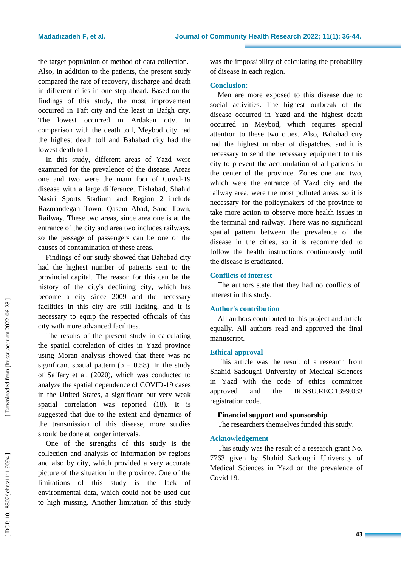the target population or method of data collection. Also, in addition to the patients, the present study compared the rate of recovery, discharge and death in different cities in one step ahead. Based on the findings of this study, the most improvement occurred in Taft city and the least in Bafgh city. The lowest occurred in Ardakan city. In comparison with the death toll, Meybod city had the highest death toll and Bahabad city had the lowest death toll.

In this study, different areas of Yazd were examined for the prevalence of the disease. Areas one and two were the main foci of Covid -19 disease with a large difference. Eishabad, Shahid Nasiri Sports Stadium and Region 2 include Razmandegan Town, Qasem Abad, Sand Town, Railway. These two areas, since area one is at the entrance of the city and area two includes railways, so the passage of passengers can be one of the causes of contamination of these areas.

Findings of our study showed that Bahabad city had the highest number of patients sent to the provincial capital. The reason for this can be the history of the city's declining city, which has become a city since 2009 and the necessary facilities in this city are still lacking, and it is necessary to equip the respected officials of this city with more advanced facilities.

The results of the present study in calculating the spatial correlation of cities in Yazd province using Moran analysis showed that there was no significant spatial pattern ( $p = 0.58$ ). In the study of Saffary et al. (2020), which was conducted to analyze the spatial dependence of COVID -19 cases in the United States, a significant but very weak spatial correlation was reported (18). It is suggested that due to the extent and dynamics of the transmission of this disease, more studies should be done at longer intervals.

One of the strengths of this study is the collection and analysis of information by regions and also by city, which provided a very accurate picture of the situation in the province. One of the limitations of this study is the lack of environmental data, which could not be used due to high missing. Another limitation of this study was the impossibility of calculating the probability of disease in each region.

## **Conclusion:**

Men are more exposed to this disease due to social activities. The highest outbreak of the disease occurred in Yazd and the highest death occurred in Meybod, which requires special attention to these two cities. Also, Bahabad city had the highest number of dispatches, and it is necessary to send the necessary equipment to this city to prevent the accumulation of all patients in the center of the province. Zones one and two, which were the entrance of Yazd city and the railway area, were the most polluted areas, so it is necessary for the policymakers of the province to take more action to observe more health issues in the terminal and railway. There was no significant spatial pattern between the prevalence of the disease in the cities, so it is recommended to follow the health instructions continuously until the disease is eradicated.

## **Conflicts of interest**

The authors state that they had no conflicts of interest in this study.

## **Author's contribution**

All authors contributed to this project and article equally. All authors read and approved the final manuscript.

### **Ethical approval**

This article was the result of a research from Shahid Sadoughi University of Medical Sciences in Yazd with the code of ethics committee approved and the IR.SSU.REC.1399.033 registration code.

## **Financial support and sponsorship**

The researchers themselves funded this study.

### **Acknowledgement**

This study was the result of a research grant No. 7763 given by Shahid Sadoughi University of Medical Sciences in Yazd on the prevalence of Covid 19.